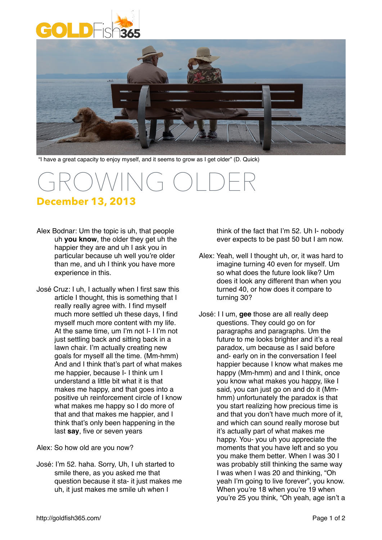



"I have a great capacity to enjoy myself, and it seems to grow as I get older" (D. Quick)

## GROWING OLDER **December 13, 2013**

- Alex Bodnar: Um the topic is uh, that people uh **you know**, the older they get uh the happier they are and uh I ask you in particular because uh well you're older than me, and uh I think you have more experience in this.
- José Cruz: I uh, I actually when I first saw this article I thought, this is something that I really really agree with. I find myself much more settled uh these days, I find myself much more content with my life. At the same time, um I'm not I- I I'm not just settling back and sitting back in a lawn chair. I'm actually creating new goals for myself all the time. (Mm-hmm) And and I think that's part of what makes me happier, because I- I think um I understand a little bit what it is that makes me happy, and that goes into a positive uh reinforcement circle of I know what makes me happy so I do more of that and that makes me happier, and I think that's only been happening in the last **say**, five or seven years
- Alex: So how old are you now?
- José: I'm 52. haha. Sorry, Uh, I uh started to smile there, as you asked me that question because it sta- it just makes me uh, it just makes me smile uh when I

think of the fact that I'm 52. Uh I- nobody ever expects to be past 50 but I am now.

- Alex: Yeah, well I thought uh, or, it was hard to imagine turning 40 even for myself. Um so what does the future look like? Um does it look any different than when you turned 40, or how does it compare to turning 30?
- José: I I um, **gee** those are all really deep questions. They could go on for paragraphs and paragraphs. Um the future to me looks brighter and it's a real paradox, um because as I said before and- early on in the conversation I feel happier because I know what makes me happy (Mm-hmm) and and I think, once you know what makes you happy, like I said, you can just go on and do it (Mmhmm) unfortunately the paradox is that you start realizing how precious time is and that you don't have much more of it, and which can sound really morose but it's actually part of what makes me happy. You- you uh you appreciate the moments that you have left and so you you make them better. When I was 30 I was probably still thinking the same way I was when I was 20 and thinking, "Oh yeah I'm going to live forever", you know. When you're 18 when you're 19 when you're 25 you think, "Oh yeah, age isn't a